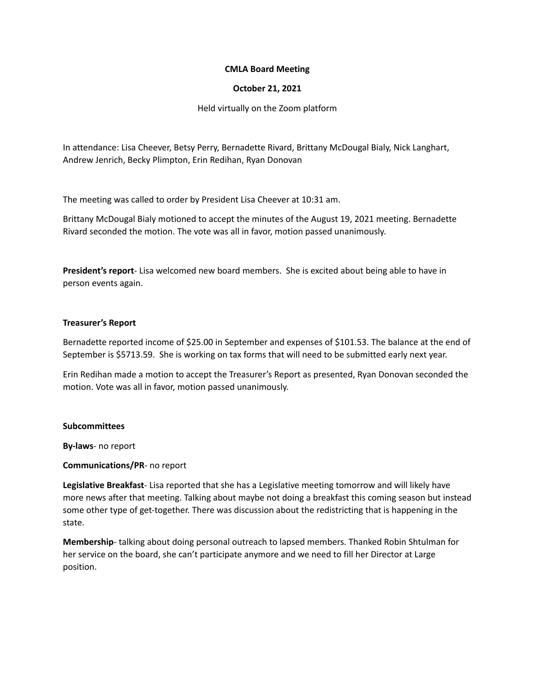## **CMLA Board Meeting**

## **October 21, 2021**

Held virtually on the Zoom platform

In attendance: Lisa Cheever, Betsy Perry, Bernadette Rivard, Brittany McDougal Bialy, Nick Langhart, Andrew Jenrich, Becky Plimpton, Erin Redihan, Ryan Donovan

The meeting was called to order by President Lisa Cheever at 10:31 am.

Brittany McDougal Bialy motioned to accept the minutes of the August 19, 2021 meeting. Bernadette Rivard seconded the motion. The vote was all in favor, motion passed unanimously.

**President's report**- Lisa welcomed new board members. She is excited about being able to have in person events again.

## **Treasurer's Report**

Bernadette reported income of \$25.00 in September and expenses of \$101.53. The balance at the end of September is \$5713.59. She is working on tax forms that will need to be submitted early next year.

Erin Redihan made a motion to accept the Treasurer's Report as presented, Ryan Donovan seconded the motion. Vote was all in favor, motion passed unanimously.

#### **Subcommittees**

**By-laws**- no report

#### **Communications/PR**- no report

**Legislative Breakfast**- Lisa reported that she has a Legislative meeting tomorrow and will likely have more news after that meeting. Talking about maybe not doing a breakfast this coming season but instead some other type of get-together. There was discussion about the redistricting that is happening in the state.

**Membership**- talking about doing personal outreach to lapsed members. Thanked Robin Shtulman for her service on the board, she can't participate anymore and we need to fill her Director at Large position.